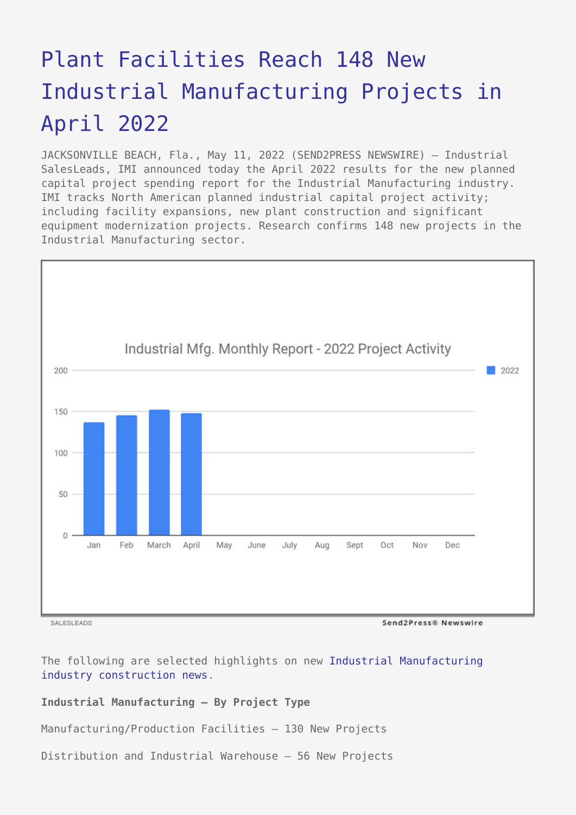# [Plant Facilities Reach 148 New](https://www.send2press.com/wire/plant-facilities-reach-148-new-industrial-manufacturing-projects-in-april-2022/) [Industrial Manufacturing Projects in](https://www.send2press.com/wire/plant-facilities-reach-148-new-industrial-manufacturing-projects-in-april-2022/) [April 2022](https://www.send2press.com/wire/plant-facilities-reach-148-new-industrial-manufacturing-projects-in-april-2022/)

JACKSONVILLE BEACH, Fla., May 11, 2022 (SEND2PRESS NEWSWIRE) — Industrial SalesLeads, IMI announced today the April 2022 results for the new planned capital project spending report for the Industrial Manufacturing industry. IMI tracks North American planned industrial capital project activity; including facility expansions, new plant construction and significant equipment modernization projects. Research confirms 148 new projects in the Industrial Manufacturing sector.



SALESLEADS

Send2Press® Newswire

The following are selected highlights on new [Industrial Manufacturing](https://www.salesleadsinc.com/industry/industrial-manufacturing/) [industry construction news.](https://www.salesleadsinc.com/industry/industrial-manufacturing/)

# **Industrial Manufacturing – By Project Type**

Manufacturing/Production Facilities – 130 New Projects

Distribution and Industrial Warehouse – 56 New Projects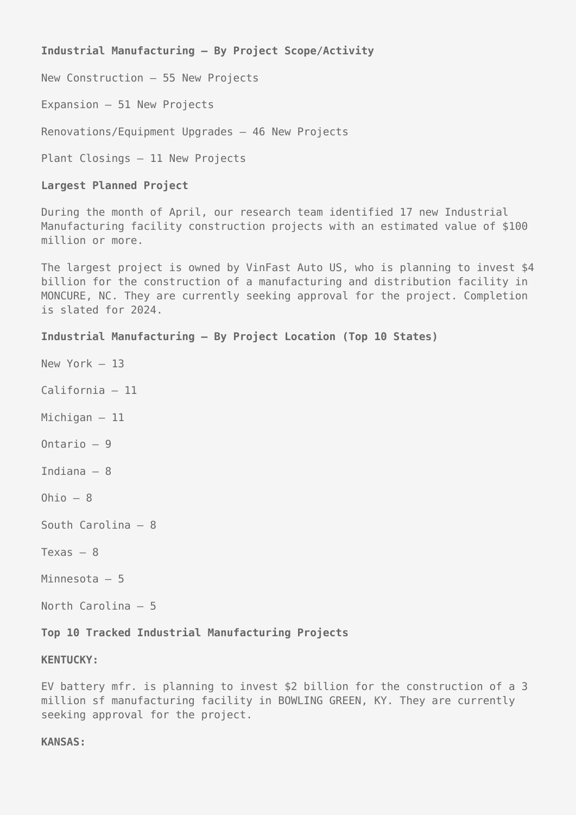**Industrial Manufacturing – By Project Scope/Activity**

New Construction – 55 New Projects

Expansion – 51 New Projects

Renovations/Equipment Upgrades – 46 New Projects

Plant Closings – 11 New Projects

# **Largest Planned Project**

During the month of April, our research team identified 17 new Industrial Manufacturing facility construction projects with an estimated value of \$100 million or more.

The largest project is owned by VinFast Auto US, who is planning to invest \$4 billion for the construction of a manufacturing and distribution facility in MONCURE, NC. They are currently seeking approval for the project. Completion is slated for 2024.

# **Industrial Manufacturing – By Project Location (Top 10 States)**

- New York 13
- California 11
- Michigan 11
- Ontario 9
- Indiana 8
- Ohio  $-8$
- South Carolina 8
- Texas 8
- Minnesota 5
- North Carolina 5

# **Top 10 Tracked Industrial Manufacturing Projects**

#### **KENTUCKY:**

EV battery mfr. is planning to invest \$2 billion for the construction of a 3 million sf manufacturing facility in BOWLING GREEN, KY. They are currently seeking approval for the project.

#### **KANSAS:**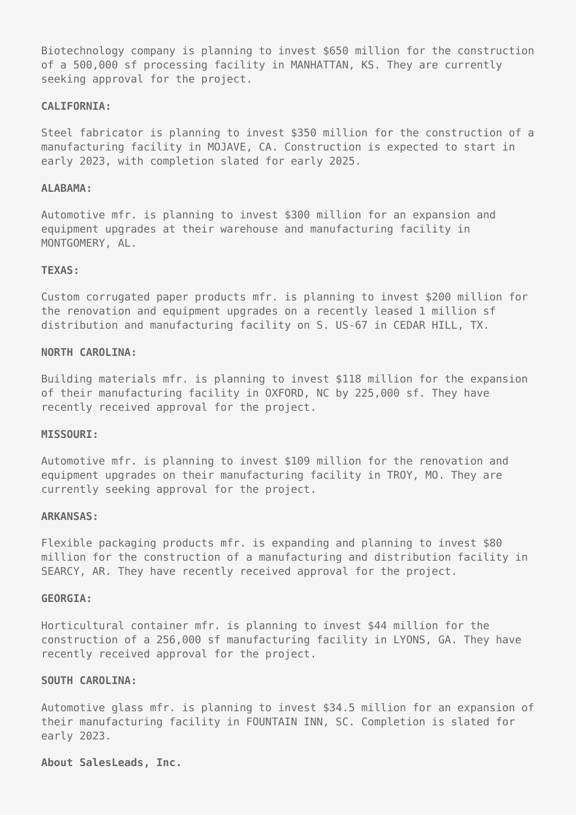Biotechnology company is planning to invest \$650 million for the construction of a 500,000 sf processing facility in MANHATTAN, KS. They are currently seeking approval for the project.

#### **CALIFORNIA:**

Steel fabricator is planning to invest \$350 million for the construction of a manufacturing facility in MOJAVE, CA. Construction is expected to start in early 2023, with completion slated for early 2025.

# **ALABAMA:**

Automotive mfr. is planning to invest \$300 million for an expansion and equipment upgrades at their warehouse and manufacturing facility in MONTGOMERY, AL.

# **TEXAS:**

Custom corrugated paper products mfr. is planning to invest \$200 million for the renovation and equipment upgrades on a recently leased 1 million sf distribution and manufacturing facility on S. US-67 in CEDAR HILL, TX.

# **NORTH CAROLINA:**

Building materials mfr. is planning to invest \$118 million for the expansion of their manufacturing facility in OXFORD, NC by 225,000 sf. They have recently received approval for the project.

#### **MISSOURI:**

Automotive mfr. is planning to invest \$109 million for the renovation and equipment upgrades on their manufacturing facility in TROY, MO. They are currently seeking approval for the project.

#### **ARKANSAS:**

Flexible packaging products mfr. is expanding and planning to invest \$80 million for the construction of a manufacturing and distribution facility in SEARCY, AR. They have recently received approval for the project.

#### **GEORGIA:**

Horticultural container mfr. is planning to invest \$44 million for the construction of a 256,000 sf manufacturing facility in LYONS, GA. They have recently received approval for the project.

# **SOUTH CAROLINA:**

Automotive glass mfr. is planning to invest \$34.5 million for an expansion of their manufacturing facility in FOUNTAIN INN, SC. Completion is slated for early 2023.

# **About SalesLeads, Inc.**